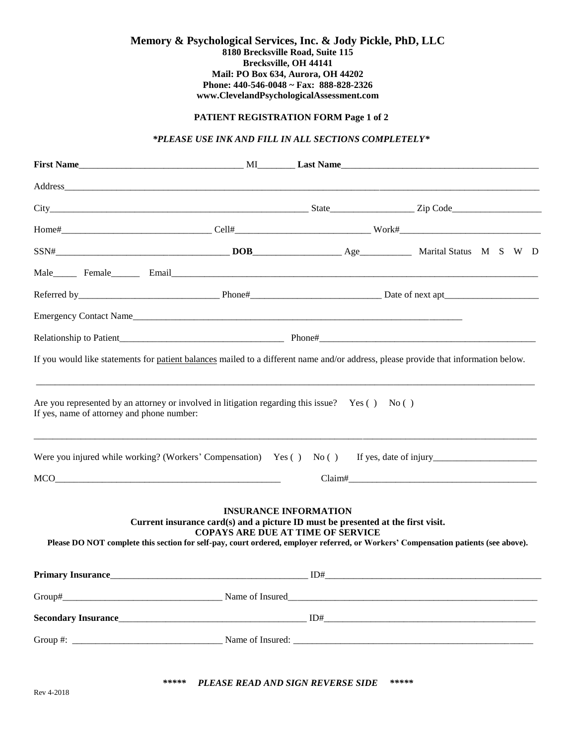#### **Memory & Psychological Services, Inc. & Jody Pickle, PhD, LLC 8180 Brecksville Road, Suite 115 Brecksville, OH 44141 Mail: PO Box 634, Aurora, OH 44202 Phone: 440-546-0048 ~ Fax: 888-828-2326 www.ClevelandPsychologicalAssessment.com**

# **PATIENT REGISTRATION FORM Page 1 of 2**

# *\*PLEASE USE INK AND FILL IN ALL SECTIONS COMPLETELY\**

|                                            |                                                                                                 |                                                                          | Male Female Email Male Research Contains and Male                                                                                  |
|--------------------------------------------|-------------------------------------------------------------------------------------------------|--------------------------------------------------------------------------|------------------------------------------------------------------------------------------------------------------------------------|
|                                            |                                                                                                 |                                                                          |                                                                                                                                    |
|                                            | Emergency Contact Name                                                                          |                                                                          |                                                                                                                                    |
|                                            |                                                                                                 |                                                                          |                                                                                                                                    |
| If yes, name of attorney and phone number: | Are you represented by an attorney or involved in litigation regarding this issue? Yes () No () |                                                                          |                                                                                                                                    |
|                                            | MCO                                                                                             |                                                                          | Were you injured while working? (Workers' Compensation) Yes () No () If yes, date of injury                                        |
|                                            | Current insurance card $(s)$ and a picture ID must be presented at the first visit.             | <b>INSURANCE INFORMATION</b><br><b>COPAYS ARE DUE AT TIME OF SERVICE</b> | Please DO NOT complete this section for self-pay, court ordered, employer referred, or Workers' Compensation patients (see above). |
| <b>Primary Insurance</b>                   |                                                                                                 | ID#                                                                      |                                                                                                                                    |
|                                            |                                                                                                 |                                                                          |                                                                                                                                    |
|                                            |                                                                                                 |                                                                          |                                                                                                                                    |
|                                            |                                                                                                 |                                                                          |                                                                                                                                    |
|                                            |                                                                                                 |                                                                          |                                                                                                                                    |